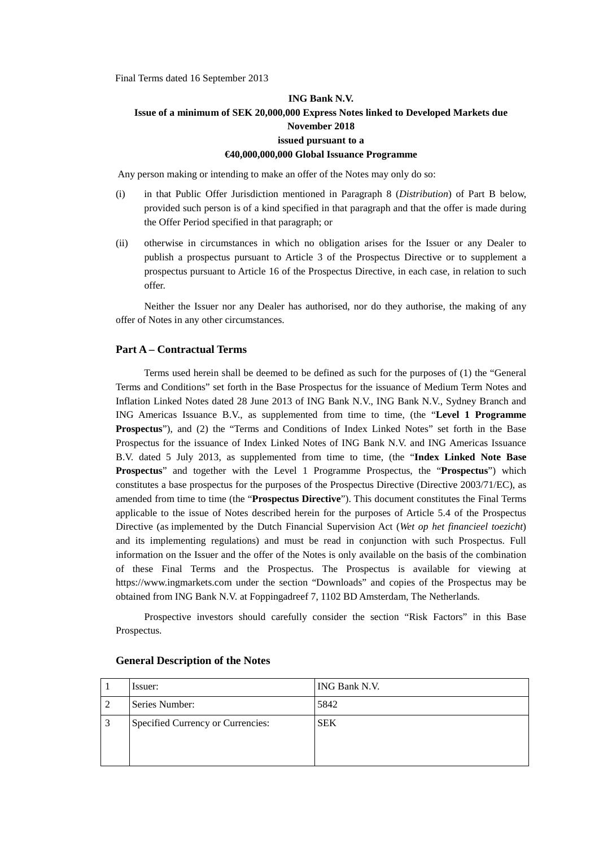Final Terms dated 16 September 2013

## **ING Bank N.V. Issue of a minimum of SEK 20,000,000 Express Notes linked to Developed Markets due November 2018 issued pursuant to a €40,000,000,000 Global Issuance Programme**

Any person making or intending to make an offer of the Notes may only do so:

- (i) in that Public Offer Jurisdiction mentioned in Paragraph 8 (*Distribution*) of Part B below, provided such person is of a kind specified in that paragraph and that the offer is made during the Offer Period specified in that paragraph; or
- (ii) otherwise in circumstances in which no obligation arises for the Issuer or any Dealer to publish a prospectus pursuant to Article 3 of the Prospectus Directive or to supplement a prospectus pursuant to Article 16 of the Prospectus Directive, in each case, in relation to such offer.

Neither the Issuer nor any Dealer has authorised, nor do they authorise, the making of any offer of Notes in any other circumstances.

#### **Part A – Contractual Terms**

Terms used herein shall be deemed to be defined as such for the purposes of (1) the "General Terms and Conditions" set forth in the Base Prospectus for the issuance of Medium Term Notes and Inflation Linked Notes dated 28 June 2013 of ING Bank N.V., ING Bank N.V., Sydney Branch and ING Americas Issuance B.V., as supplemented from time to time, (the "**Level 1 Programme Prospectus**"), and (2) the "Terms and Conditions of Index Linked Notes" set forth in the Base Prospectus for the issuance of Index Linked Notes of ING Bank N.V. and ING Americas Issuance B.V. dated 5 July 2013, as supplemented from time to time, (the "**Index Linked Note Base Prospectus**" and together with the Level 1 Programme Prospectus, the "**Prospectus**") which constitutes a base prospectus for the purposes of the Prospectus Directive (Directive 2003/71/EC), as amended from time to time (the "**Prospectus Directive**"). This document constitutes the Final Terms applicable to the issue of Notes described herein for the purposes of Article 5.4 of the Prospectus Directive (as implemented by the Dutch Financial Supervision Act (*Wet op het financieel toezicht*) and its implementing regulations) and must be read in conjunction with such Prospectus. Full information on the Issuer and the offer of the Notes is only available on the basis of the combination of these Final Terms and the Prospectus. The Prospectus is available for viewing at https://www.ingmarkets.com under the section "Downloads" and copies of the Prospectus may be obtained from ING Bank N.V. at Foppingadreef 7, 1102 BD Amsterdam, The Netherlands*.*

Prospective investors should carefully consider the section "Risk Factors" in this Base Prospectus.

|   | Issuer:                           | ING Bank N.V. |
|---|-----------------------------------|---------------|
|   | Series Number:                    | 5842          |
| 3 | Specified Currency or Currencies: | <b>SEK</b>    |

#### **General Description of the Notes**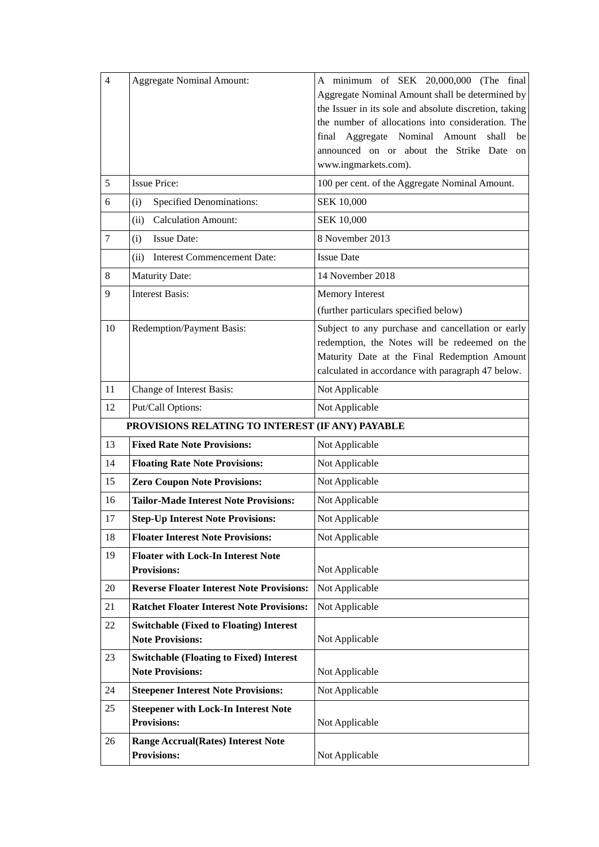| $\overline{4}$<br>5 | <b>Aggregate Nominal Amount:</b><br><b>Issue Price:</b>                   | A minimum of SEK 20,000,000 (The final<br>Aggregate Nominal Amount shall be determined by<br>the Issuer in its sole and absolute discretion, taking<br>the number of allocations into consideration. The<br>Aggregate Nominal Amount<br>final<br>shall<br>be<br>announced on or about the Strike Date<br>on<br>www.ingmarkets.com).<br>100 per cent. of the Aggregate Nominal Amount. |
|---------------------|---------------------------------------------------------------------------|---------------------------------------------------------------------------------------------------------------------------------------------------------------------------------------------------------------------------------------------------------------------------------------------------------------------------------------------------------------------------------------|
| 6                   | <b>Specified Denominations:</b><br>(i)                                    | SEK 10,000                                                                                                                                                                                                                                                                                                                                                                            |
|                     | <b>Calculation Amount:</b><br>(ii)                                        | <b>SEK 10,000</b>                                                                                                                                                                                                                                                                                                                                                                     |
| $\tau$              | <b>Issue Date:</b><br>(i)                                                 | 8 November 2013                                                                                                                                                                                                                                                                                                                                                                       |
|                     | (ii) Interest Commencement Date:                                          | <b>Issue Date</b>                                                                                                                                                                                                                                                                                                                                                                     |
| 8                   | <b>Maturity Date:</b>                                                     | 14 November 2018                                                                                                                                                                                                                                                                                                                                                                      |
| 9                   | <b>Interest Basis:</b>                                                    | Memory Interest                                                                                                                                                                                                                                                                                                                                                                       |
|                     |                                                                           | (further particulars specified below)                                                                                                                                                                                                                                                                                                                                                 |
| 10                  | Redemption/Payment Basis:                                                 | Subject to any purchase and cancellation or early<br>redemption, the Notes will be redeemed on the<br>Maturity Date at the Final Redemption Amount<br>calculated in accordance with paragraph 47 below.                                                                                                                                                                               |
| 11                  | Change of Interest Basis:                                                 | Not Applicable                                                                                                                                                                                                                                                                                                                                                                        |
| 12                  | Put/Call Options:                                                         | Not Applicable                                                                                                                                                                                                                                                                                                                                                                        |
|                     | PROVISIONS RELATING TO INTEREST (IF ANY) PAYABLE                          |                                                                                                                                                                                                                                                                                                                                                                                       |
| 13                  | <b>Fixed Rate Note Provisions:</b>                                        | Not Applicable                                                                                                                                                                                                                                                                                                                                                                        |
| 14                  | <b>Floating Rate Note Provisions:</b>                                     | Not Applicable                                                                                                                                                                                                                                                                                                                                                                        |
| 15                  | <b>Zero Coupon Note Provisions:</b>                                       | Not Applicable                                                                                                                                                                                                                                                                                                                                                                        |
| 16                  | <b>Tailor-Made Interest Note Provisions:</b>                              | Not Applicable                                                                                                                                                                                                                                                                                                                                                                        |
| 17                  | <b>Step-Up Interest Note Provisions:</b>                                  | Not Applicable                                                                                                                                                                                                                                                                                                                                                                        |
| 18                  | <b>Floater Interest Note Provisions:</b>                                  | Not Applicable                                                                                                                                                                                                                                                                                                                                                                        |
| 19                  | <b>Floater with Lock-In Interest Note</b><br><b>Provisions:</b>           | Not Applicable                                                                                                                                                                                                                                                                                                                                                                        |
| 20                  | <b>Reverse Floater Interest Note Provisions:</b>                          | Not Applicable                                                                                                                                                                                                                                                                                                                                                                        |
| 21                  | <b>Ratchet Floater Interest Note Provisions:</b>                          | Not Applicable                                                                                                                                                                                                                                                                                                                                                                        |
| 22                  | <b>Switchable (Fixed to Floating) Interest</b><br><b>Note Provisions:</b> | Not Applicable                                                                                                                                                                                                                                                                                                                                                                        |
| 23                  | <b>Switchable (Floating to Fixed) Interest</b><br><b>Note Provisions:</b> | Not Applicable                                                                                                                                                                                                                                                                                                                                                                        |
| 24                  | <b>Steepener Interest Note Provisions:</b>                                | Not Applicable                                                                                                                                                                                                                                                                                                                                                                        |
| 25                  | <b>Steepener with Lock-In Interest Note</b><br><b>Provisions:</b>         | Not Applicable                                                                                                                                                                                                                                                                                                                                                                        |
| 26                  | <b>Range Accrual(Rates) Interest Note</b><br><b>Provisions:</b>           | Not Applicable                                                                                                                                                                                                                                                                                                                                                                        |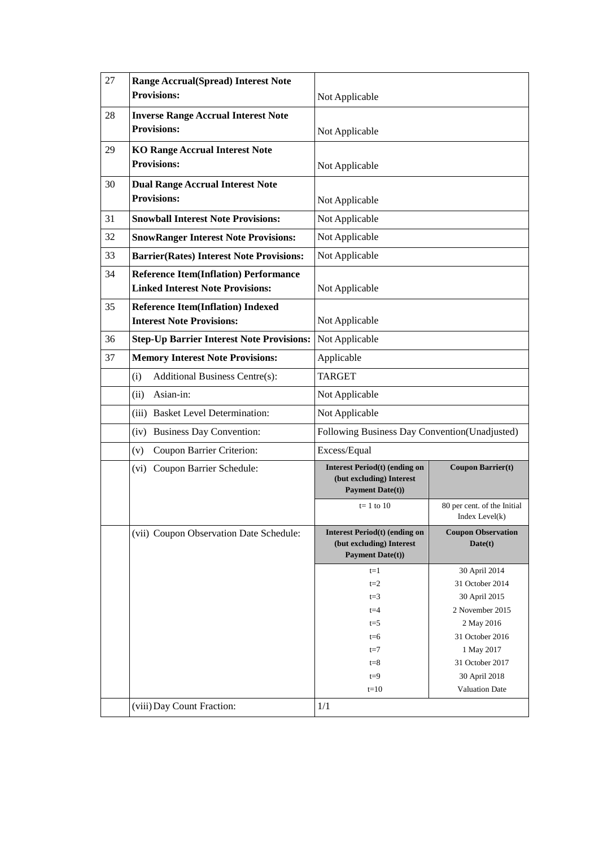| 27 | <b>Range Accrual(Spread) Interest Note</b><br><b>Provisions:</b>                                          |                                                                                             |                                                  |
|----|-----------------------------------------------------------------------------------------------------------|---------------------------------------------------------------------------------------------|--------------------------------------------------|
|    |                                                                                                           | Not Applicable                                                                              |                                                  |
| 28 | <b>Inverse Range Accrual Interest Note</b><br><b>Provisions:</b>                                          | Not Applicable                                                                              |                                                  |
| 29 | <b>KO Range Accrual Interest Note</b><br><b>Provisions:</b>                                               | Not Applicable                                                                              |                                                  |
| 30 | <b>Dual Range Accrual Interest Note</b><br><b>Provisions:</b>                                             | Not Applicable                                                                              |                                                  |
| 31 | <b>Snowball Interest Note Provisions:</b>                                                                 | Not Applicable                                                                              |                                                  |
| 32 | <b>SnowRanger Interest Note Provisions:</b>                                                               | Not Applicable                                                                              |                                                  |
| 33 | <b>Barrier(Rates) Interest Note Provisions:</b>                                                           | Not Applicable                                                                              |                                                  |
| 34 | <b>Reference Item(Inflation) Performance</b><br><b>Linked Interest Note Provisions:</b><br>Not Applicable |                                                                                             |                                                  |
| 35 | <b>Reference Item(Inflation) Indexed</b><br><b>Interest Note Provisions:</b><br>Not Applicable            |                                                                                             |                                                  |
| 36 | <b>Step-Up Barrier Interest Note Provisions:</b>                                                          | Not Applicable                                                                              |                                                  |
| 37 | <b>Memory Interest Note Provisions:</b>                                                                   | Applicable                                                                                  |                                                  |
|    | Additional Business Centre(s):<br>(i)                                                                     | <b>TARGET</b>                                                                               |                                                  |
|    | Asian-in:<br>(ii)                                                                                         | Not Applicable                                                                              |                                                  |
|    | (iii) Basket Level Determination:                                                                         | Not Applicable                                                                              |                                                  |
|    | (iv) Business Day Convention:                                                                             | Following Business Day Convention(Unadjusted)                                               |                                                  |
|    | Coupon Barrier Criterion:<br>(v)                                                                          | Excess/Equal                                                                                |                                                  |
|    | (vi) Coupon Barrier Schedule:                                                                             | Interest Period(t) (ending on<br>(but excluding) Interest<br><b>Payment Date(t))</b>        | <b>Coupon Barrier(t)</b>                         |
|    |                                                                                                           | $t=1$ to 10                                                                                 | 80 per cent. of the Initial<br>Index Level $(k)$ |
|    | (vii) Coupon Observation Date Schedule:                                                                   | <b>Interest Period(t) (ending on</b><br>(but excluding) Interest<br><b>Payment Date(t))</b> | <b>Coupon Observation</b><br>Date(t)             |
|    |                                                                                                           | $t=1$                                                                                       | 30 April 2014                                    |
|    |                                                                                                           | $t=2$                                                                                       | 31 October 2014                                  |
|    |                                                                                                           | $t=3$<br>$t = 4$                                                                            | 30 April 2015<br>2 November 2015                 |
|    |                                                                                                           | $t = 5$                                                                                     | 2 May 2016                                       |
|    |                                                                                                           | $t=6$                                                                                       | 31 October 2016                                  |
|    |                                                                                                           | $t=7$                                                                                       | 1 May 2017                                       |
|    |                                                                                                           | $t = 8$                                                                                     | 31 October 2017                                  |
|    |                                                                                                           | $t=9$                                                                                       | 30 April 2018                                    |
|    |                                                                                                           | $t=10$                                                                                      | <b>Valuation Date</b>                            |
|    | (viii) Day Count Fraction:                                                                                | 1/1                                                                                         |                                                  |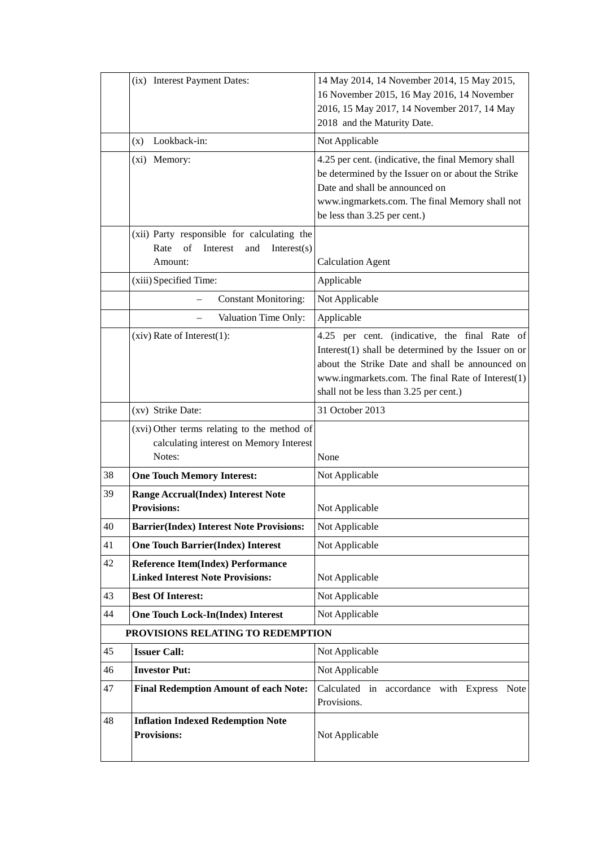|    | (ix) Interest Payment Dates:                                                                           | 14 May 2014, 14 November 2014, 15 May 2015,<br>16 November 2015, 16 May 2016, 14 November<br>2016, 15 May 2017, 14 November 2017, 14 May<br>2018 and the Maturity Date.                                                                                   |
|----|--------------------------------------------------------------------------------------------------------|-----------------------------------------------------------------------------------------------------------------------------------------------------------------------------------------------------------------------------------------------------------|
|    | Lookback-in:<br>(x)                                                                                    | Not Applicable                                                                                                                                                                                                                                            |
|    | (xi) Memory:                                                                                           | 4.25 per cent. (indicative, the final Memory shall<br>be determined by the Issuer on or about the Strike<br>Date and shall be announced on<br>www.ingmarkets.com. The final Memory shall not<br>be less than 3.25 per cent.)                              |
|    | (xii) Party responsible for calculating the<br>Rate<br>of<br>Interest<br>and<br>Interest(s)<br>Amount: | <b>Calculation Agent</b>                                                                                                                                                                                                                                  |
|    | (xiii) Specified Time:                                                                                 | Applicable                                                                                                                                                                                                                                                |
|    | <b>Constant Monitoring:</b>                                                                            | Not Applicable                                                                                                                                                                                                                                            |
|    | Valuation Time Only:                                                                                   | Applicable                                                                                                                                                                                                                                                |
|    | $(xiv)$ Rate of Interest $(1)$ :                                                                       | 4.25 per cent. (indicative, the final Rate of<br>Interest $(1)$ shall be determined by the Issuer on or<br>about the Strike Date and shall be announced on<br>www.ingmarkets.com. The final Rate of Interest(1)<br>shall not be less than 3.25 per cent.) |
|    | (xv) Strike Date:                                                                                      | 31 October 2013                                                                                                                                                                                                                                           |
|    | (xvi) Other terms relating to the method of<br>calculating interest on Memory Interest<br>Notes:       | None                                                                                                                                                                                                                                                      |
| 38 | <b>One Touch Memory Interest:</b>                                                                      | Not Applicable                                                                                                                                                                                                                                            |
| 39 | <b>Range Accrual(Index) Interest Note</b><br><b>Provisions:</b>                                        | Not Applicable                                                                                                                                                                                                                                            |
| 40 | <b>Barrier(Index) Interest Note Provisions:</b>                                                        | Not Applicable                                                                                                                                                                                                                                            |
| 41 | <b>One Touch Barrier(Index) Interest</b>                                                               | Not Applicable                                                                                                                                                                                                                                            |
| 42 | <b>Reference Item(Index) Performance</b><br><b>Linked Interest Note Provisions:</b>                    | Not Applicable                                                                                                                                                                                                                                            |
| 43 | <b>Best Of Interest:</b>                                                                               | Not Applicable                                                                                                                                                                                                                                            |
| 44 | <b>One Touch Lock-In(Index) Interest</b>                                                               | Not Applicable                                                                                                                                                                                                                                            |
|    | PROVISIONS RELATING TO REDEMPTION                                                                      |                                                                                                                                                                                                                                                           |
| 45 | <b>Issuer Call:</b>                                                                                    | Not Applicable                                                                                                                                                                                                                                            |
| 46 | <b>Investor Put:</b>                                                                                   | Not Applicable                                                                                                                                                                                                                                            |
| 47 | <b>Final Redemption Amount of each Note:</b>                                                           | Calculated in accordance with Express<br><b>Note</b><br>Provisions.                                                                                                                                                                                       |
| 48 | <b>Inflation Indexed Redemption Note</b><br><b>Provisions:</b>                                         | Not Applicable                                                                                                                                                                                                                                            |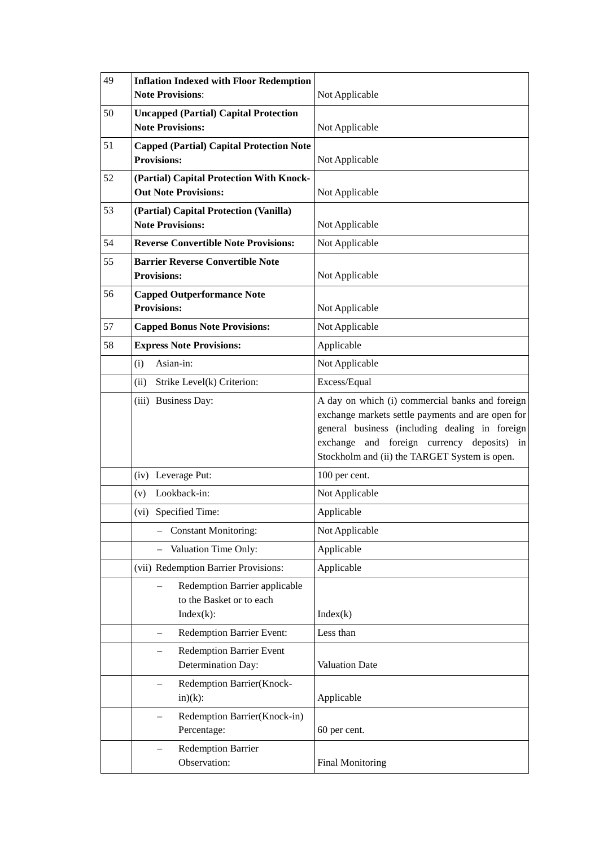| 49 | <b>Inflation Indexed with Floor Redemption</b><br><b>Note Provisions:</b> | Not Applicable                                                                                                                                                                                                                                        |  |
|----|---------------------------------------------------------------------------|-------------------------------------------------------------------------------------------------------------------------------------------------------------------------------------------------------------------------------------------------------|--|
| 50 | <b>Uncapped (Partial) Capital Protection</b><br><b>Note Provisions:</b>   | Not Applicable                                                                                                                                                                                                                                        |  |
| 51 | <b>Capped (Partial) Capital Protection Note</b><br><b>Provisions:</b>     | Not Applicable                                                                                                                                                                                                                                        |  |
| 52 | (Partial) Capital Protection With Knock-<br><b>Out Note Provisions:</b>   | Not Applicable                                                                                                                                                                                                                                        |  |
| 53 | (Partial) Capital Protection (Vanilla)<br><b>Note Provisions:</b>         | Not Applicable                                                                                                                                                                                                                                        |  |
| 54 | <b>Reverse Convertible Note Provisions:</b>                               | Not Applicable                                                                                                                                                                                                                                        |  |
| 55 | <b>Barrier Reverse Convertible Note</b><br><b>Provisions:</b>             | Not Applicable                                                                                                                                                                                                                                        |  |
| 56 | <b>Capped Outperformance Note</b><br><b>Provisions:</b>                   | Not Applicable                                                                                                                                                                                                                                        |  |
| 57 | <b>Capped Bonus Note Provisions:</b>                                      | Not Applicable                                                                                                                                                                                                                                        |  |
| 58 | <b>Express Note Provisions:</b>                                           | Applicable                                                                                                                                                                                                                                            |  |
|    | (i)<br>Asian-in:                                                          | Not Applicable                                                                                                                                                                                                                                        |  |
|    | Strike Level(k) Criterion:<br>(ii)                                        | Excess/Equal                                                                                                                                                                                                                                          |  |
|    | (iii) Business Day:                                                       | A day on which (i) commercial banks and foreign<br>exchange markets settle payments and are open for<br>general business (including dealing in foreign<br>exchange and foreign currency deposits) in<br>Stockholm and (ii) the TARGET System is open. |  |
|    | (iv) Leverage Put:                                                        | 100 per cent.                                                                                                                                                                                                                                         |  |
|    | (v) Lookback-in:                                                          | Not Applicable                                                                                                                                                                                                                                        |  |
|    | (vi) Specified Time:                                                      | Applicable                                                                                                                                                                                                                                            |  |
|    | <b>Constant Monitoring:</b>                                               | Not Applicable                                                                                                                                                                                                                                        |  |
|    | Valuation Time Only:                                                      | Applicable                                                                                                                                                                                                                                            |  |
|    | (vii) Redemption Barrier Provisions:                                      | Applicable                                                                                                                                                                                                                                            |  |
|    | Redemption Barrier applicable<br>to the Basket or to each<br>$Index(k)$ : | Index(k)                                                                                                                                                                                                                                              |  |
|    | Redemption Barrier Event:                                                 | Less than                                                                                                                                                                                                                                             |  |
|    | <b>Redemption Barrier Event</b><br>Determination Day:                     | Valuation Date                                                                                                                                                                                                                                        |  |
|    | Redemption Barrier(Knock-<br>$in)(k)$ :                                   | Applicable                                                                                                                                                                                                                                            |  |
|    | Redemption Barrier(Knock-in)<br>Percentage:                               | 60 per cent.                                                                                                                                                                                                                                          |  |
|    | <b>Redemption Barrier</b><br>Observation:                                 | <b>Final Monitoring</b>                                                                                                                                                                                                                               |  |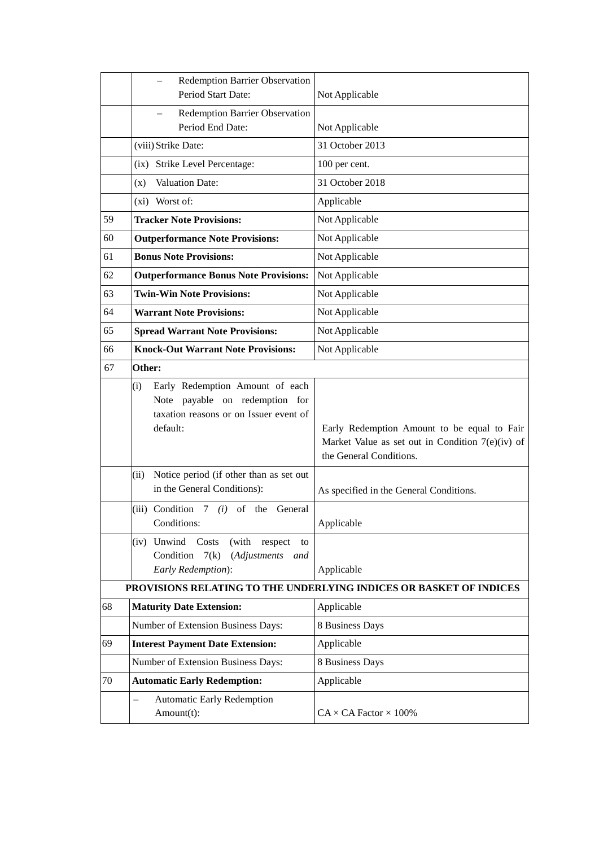|    | Redemption Barrier Observation<br>Period Start Date:                                                                           | Not Applicable                                                                                                               |
|----|--------------------------------------------------------------------------------------------------------------------------------|------------------------------------------------------------------------------------------------------------------------------|
|    | Redemption Barrier Observation<br>Period End Date:                                                                             | Not Applicable                                                                                                               |
|    | (viii) Strike Date:                                                                                                            | 31 October 2013                                                                                                              |
|    | (ix) Strike Level Percentage:                                                                                                  | 100 per cent.                                                                                                                |
|    | <b>Valuation Date:</b><br>(x)                                                                                                  | 31 October 2018                                                                                                              |
|    | (xi) Worst of:                                                                                                                 | Applicable                                                                                                                   |
| 59 | <b>Tracker Note Provisions:</b>                                                                                                | Not Applicable                                                                                                               |
| 60 | <b>Outperformance Note Provisions:</b>                                                                                         | Not Applicable                                                                                                               |
| 61 | <b>Bonus Note Provisions:</b>                                                                                                  | Not Applicable                                                                                                               |
| 62 | <b>Outperformance Bonus Note Provisions:</b>                                                                                   | Not Applicable                                                                                                               |
| 63 | <b>Twin-Win Note Provisions:</b>                                                                                               | Not Applicable                                                                                                               |
| 64 | <b>Warrant Note Provisions:</b>                                                                                                | Not Applicable                                                                                                               |
| 65 | <b>Spread Warrant Note Provisions:</b>                                                                                         | Not Applicable                                                                                                               |
| 66 | <b>Knock-Out Warrant Note Provisions:</b>                                                                                      | Not Applicable                                                                                                               |
| 67 | Other:                                                                                                                         |                                                                                                                              |
|    | Early Redemption Amount of each<br>(i)<br>Note payable on redemption for<br>taxation reasons or on Issuer event of<br>default: | Early Redemption Amount to be equal to Fair<br>Market Value as set out in Condition $7(e)(iv)$ of<br>the General Conditions. |
|    | Notice period (if other than as set out<br>(ii)<br>in the General Conditions):                                                 | As specified in the General Conditions.                                                                                      |
|    | (iii) Condition $7$ (i) of the General<br>Conditions:                                                                          | Applicable                                                                                                                   |
|    | (iv) Unwind<br>Costs<br>(with<br>respect<br>to<br>Condition<br>7(k)<br>(Adjustments<br>and<br>Early Redemption):               | Applicable                                                                                                                   |
|    |                                                                                                                                | PROVISIONS RELATING TO THE UNDERLYING INDICES OR BASKET OF INDICES                                                           |
| 68 | <b>Maturity Date Extension:</b>                                                                                                | Applicable                                                                                                                   |
|    | Number of Extension Business Days:                                                                                             | 8 Business Days                                                                                                              |
| 69 | <b>Interest Payment Date Extension:</b>                                                                                        | Applicable                                                                                                                   |
|    | Number of Extension Business Days:                                                                                             | 8 Business Days                                                                                                              |
| 70 | <b>Automatic Early Redemption:</b>                                                                                             | Applicable                                                                                                                   |
|    | <b>Automatic Early Redemption</b><br>$\overline{\phantom{0}}$<br>Amount(t):                                                    | $CA \times CA$ Factor $\times$ 100%                                                                                          |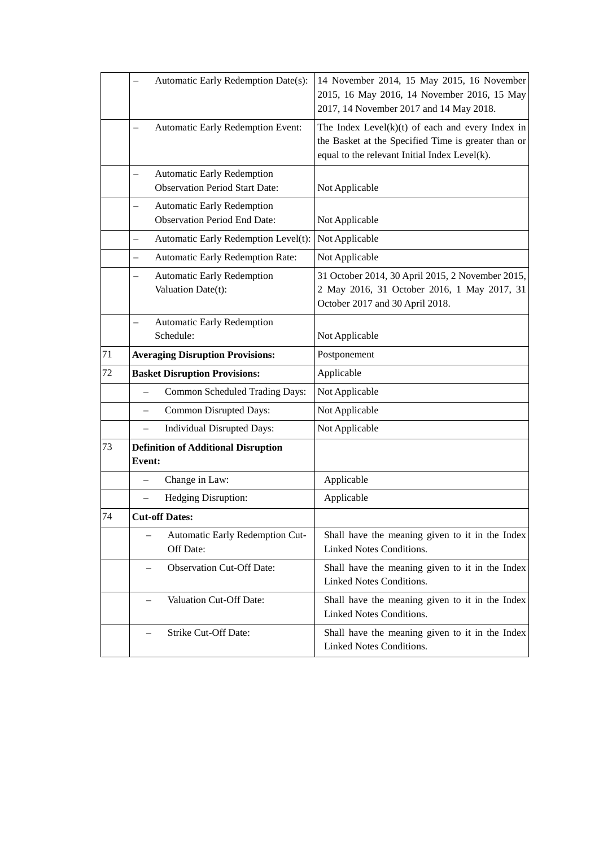|    | Automatic Early Redemption Date(s):                                                                    | 14 November 2014, 15 May 2015, 16 November<br>2015, 16 May 2016, 14 November 2016, 15 May<br>2017, 14 November 2017 and 14 May 2018.                        |
|----|--------------------------------------------------------------------------------------------------------|-------------------------------------------------------------------------------------------------------------------------------------------------------------|
|    | <b>Automatic Early Redemption Event:</b>                                                               | The Index Level $(k)(t)$ of each and every Index in<br>the Basket at the Specified Time is greater than or<br>equal to the relevant Initial Index Level(k). |
|    | <b>Automatic Early Redemption</b><br>$\overline{\phantom{0}}$<br><b>Observation Period Start Date:</b> | Not Applicable                                                                                                                                              |
|    | <b>Automatic Early Redemption</b><br><b>Observation Period End Date:</b>                               | Not Applicable                                                                                                                                              |
|    | Automatic Early Redemption Level(t):                                                                   | Not Applicable                                                                                                                                              |
|    | Automatic Early Redemption Rate:<br>$\overline{\phantom{0}}$                                           | Not Applicable                                                                                                                                              |
|    | Automatic Early Redemption<br>-<br>Valuation Date(t):                                                  | 31 October 2014, 30 April 2015, 2 November 2015,<br>2 May 2016, 31 October 2016, 1 May 2017, 31<br>October 2017 and 30 April 2018.                          |
|    | <b>Automatic Early Redemption</b><br>Schedule:                                                         | Not Applicable                                                                                                                                              |
| 71 | <b>Averaging Disruption Provisions:</b>                                                                | Postponement                                                                                                                                                |
| 72 | <b>Basket Disruption Provisions:</b>                                                                   | Applicable                                                                                                                                                  |
|    | Common Scheduled Trading Days:                                                                         | Not Applicable                                                                                                                                              |
|    | <b>Common Disrupted Days:</b><br>$\overline{\phantom{0}}$                                              | Not Applicable                                                                                                                                              |
|    | Individual Disrupted Days:                                                                             | Not Applicable                                                                                                                                              |
| 73 | <b>Definition of Additional Disruption</b><br>Event:                                                   |                                                                                                                                                             |
|    |                                                                                                        |                                                                                                                                                             |
|    | Change in Law:                                                                                         | Applicable                                                                                                                                                  |
|    | Hedging Disruption:                                                                                    | Applicable                                                                                                                                                  |
| 74 | <b>Cut-off Dates:</b>                                                                                  |                                                                                                                                                             |
|    | Automatic Early Redemption Cut-<br>Off Date:                                                           | Shall have the meaning given to it in the Index<br>Linked Notes Conditions.                                                                                 |
|    | <b>Observation Cut-Off Date:</b>                                                                       | Shall have the meaning given to it in the Index<br>Linked Notes Conditions.                                                                                 |
|    | Valuation Cut-Off Date:                                                                                | Shall have the meaning given to it in the Index<br>Linked Notes Conditions.                                                                                 |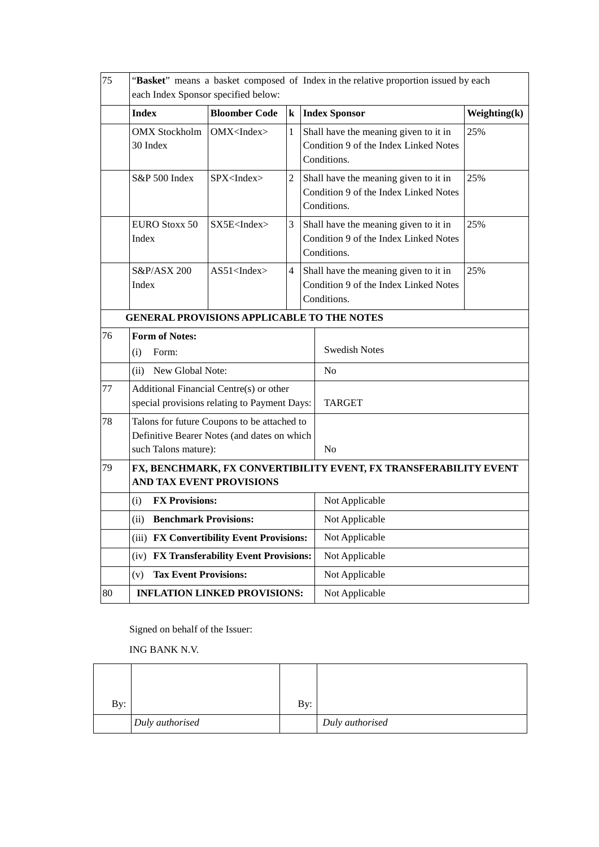| 75 | "Basket" means a basket composed of Index in the relative proportion issued by each<br>each Index Sponsor specified below: |                                           |                                                                                               |                                                                                               |     |  |
|----|----------------------------------------------------------------------------------------------------------------------------|-------------------------------------------|-----------------------------------------------------------------------------------------------|-----------------------------------------------------------------------------------------------|-----|--|
|    | <b>Index</b><br><b>Bloomber Code</b><br>$\bf k$<br><b>Index Sponsor</b>                                                    |                                           |                                                                                               | Weighting(k)                                                                                  |     |  |
|    | <b>OMX</b> Stockholm<br>OMX < Index<br>$\mathbf{1}$<br>30 Index                                                            |                                           | Shall have the meaning given to it in<br>Condition 9 of the Index Linked Notes<br>Conditions. | 25%                                                                                           |     |  |
|    | S&P 500 Index                                                                                                              | SPX <index></index>                       | $\overline{2}$                                                                                | Shall have the meaning given to it in<br>Condition 9 of the Index Linked Notes<br>Conditions. | 25% |  |
|    | <b>EURO Stoxx 50</b><br>Index                                                                                              | SX5E <index></index>                      | 3                                                                                             | Shall have the meaning given to it in<br>Condition 9 of the Index Linked Notes<br>Conditions. | 25% |  |
|    | S&P/ASX 200<br>Index                                                                                                       | $AS51$ <index></index>                    | 4                                                                                             | Shall have the meaning given to it in<br>Condition 9 of the Index Linked Notes<br>Conditions. | 25% |  |
|    | <b>GENERAL PROVISIONS APPLICABLE TO THE NOTES</b>                                                                          |                                           |                                                                                               |                                                                                               |     |  |
| 76 | <b>Form of Notes:</b><br>(i)<br>Form:                                                                                      |                                           | <b>Swedish Notes</b>                                                                          |                                                                                               |     |  |
|    | (ii) New Global Note:                                                                                                      |                                           | N <sub>o</sub>                                                                                |                                                                                               |     |  |
| 77 | Additional Financial Centre(s) or other<br>special provisions relating to Payment Days:                                    |                                           | <b>TARGET</b>                                                                                 |                                                                                               |     |  |
| 78 | Talons for future Coupons to be attached to<br>Definitive Bearer Notes (and dates on which<br>such Talons mature):         |                                           | N <sub>o</sub>                                                                                |                                                                                               |     |  |
| 79 | FX, BENCHMARK, FX CONVERTIBILITY EVENT, FX TRANSFERABILITY EVENT<br><b>AND TAX EVENT PROVISIONS</b>                        |                                           |                                                                                               |                                                                                               |     |  |
|    | <b>FX Provisions:</b><br>(i)                                                                                               |                                           |                                                                                               | Not Applicable                                                                                |     |  |
|    | (ii) Benchmark Provisions:                                                                                                 |                                           |                                                                                               | Not Applicable                                                                                |     |  |
|    |                                                                                                                            | (iii) FX Convertibility Event Provisions: |                                                                                               | Not Applicable                                                                                |     |  |
|    |                                                                                                                            | (iv) FX Transferability Event Provisions: |                                                                                               | Not Applicable                                                                                |     |  |
|    | <b>Tax Event Provisions:</b><br>(v)                                                                                        |                                           |                                                                                               | Not Applicable                                                                                |     |  |
| 80 |                                                                                                                            | <b>INFLATION LINKED PROVISIONS:</b>       |                                                                                               | Not Applicable                                                                                |     |  |

Signed on behalf of the Issuer:

ING BANK N.V.

| By: |                 | By: |                 |
|-----|-----------------|-----|-----------------|
|     | Duly authorised |     | Duly authorised |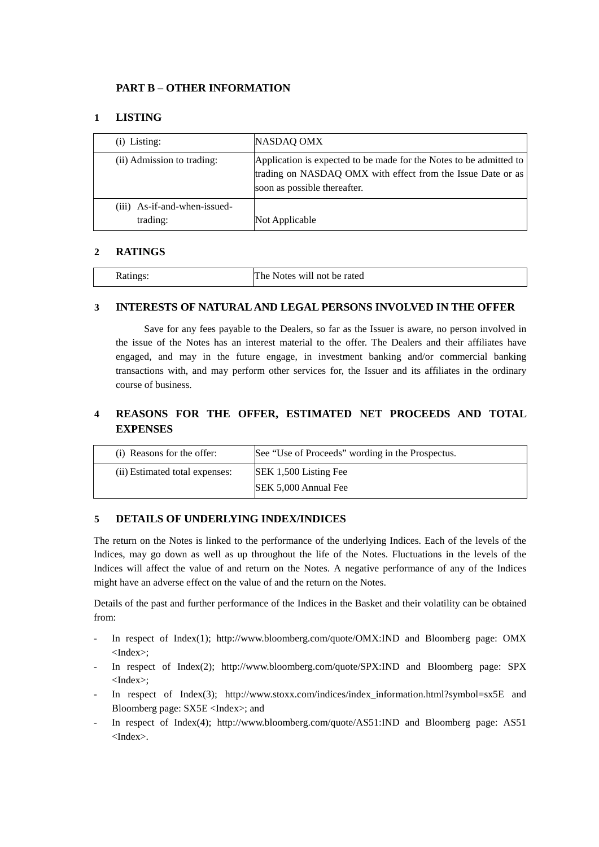## **PART B – OTHER INFORMATION**

## **1 LISTING**

| $(i)$ Listing:                           | NASDAQ OMX                                                                                                                                                        |
|------------------------------------------|-------------------------------------------------------------------------------------------------------------------------------------------------------------------|
| (ii) Admission to trading:               | Application is expected to be made for the Notes to be admitted to<br>trading on NASDAQ OMX with effect from the Issue Date or as<br>soon as possible thereafter. |
| (iii) As-if-and-when-issued-<br>trading: | Not Applicable                                                                                                                                                    |

### **2 RATINGS**

| `he<br>Notes will not be rated<br>Aatings. |  |
|--------------------------------------------|--|
|--------------------------------------------|--|

### **3 INTERESTS OF NATURAL AND LEGAL PERSONS INVOLVED IN THE OFFER**

Save for any fees payable to the Dealers, so far as the Issuer is aware, no person involved in the issue of the Notes has an interest material to the offer. The Dealers and their affiliates have engaged, and may in the future engage, in investment banking and/or commercial banking transactions with, and may perform other services for, the Issuer and its affiliates in the ordinary course of business.

# **4 REASONS FOR THE OFFER, ESTIMATED NET PROCEEDS AND TOTAL EXPENSES**

| (i) Reasons for the offer:     | See "Use of Proceeds" wording in the Prospectus. |
|--------------------------------|--------------------------------------------------|
| (ii) Estimated total expenses: | SEK 1,500 Listing Fee                            |
|                                | SEK 5,000 Annual Fee                             |

### **5 DETAILS OF UNDERLYING INDEX/INDICES**

The return on the Notes is linked to the performance of the underlying Indices. Each of the levels of the Indices, may go down as well as up throughout the life of the Notes. Fluctuations in the levels of the Indices will affect the value of and return on the Notes. A negative performance of any of the Indices might have an adverse effect on the value of and the return on the Notes.

Details of the past and further performance of the Indices in the Basket and their volatility can be obtained from:

- In respect of Index(1); [http://www.bloomberg.com/quote/OMX:IND](http://en.indices.cc/indices/details/rdu/) and Bloomberg page: OMX <Index>;
- In respect of Index(2); http://www.bloomberg.com/quote/SPX:IND and Bloomberg page: SPX <Index>;
- In respect of Index(3); http://www.stoxx.com/indices/index\_information.html?symbol=sx5E and Bloomberg page: SX5E <Index>; and
- In respect of Index(4); http://www.bloomberg.com/quote/AS51:IND and Bloomberg page: AS51 <Index>.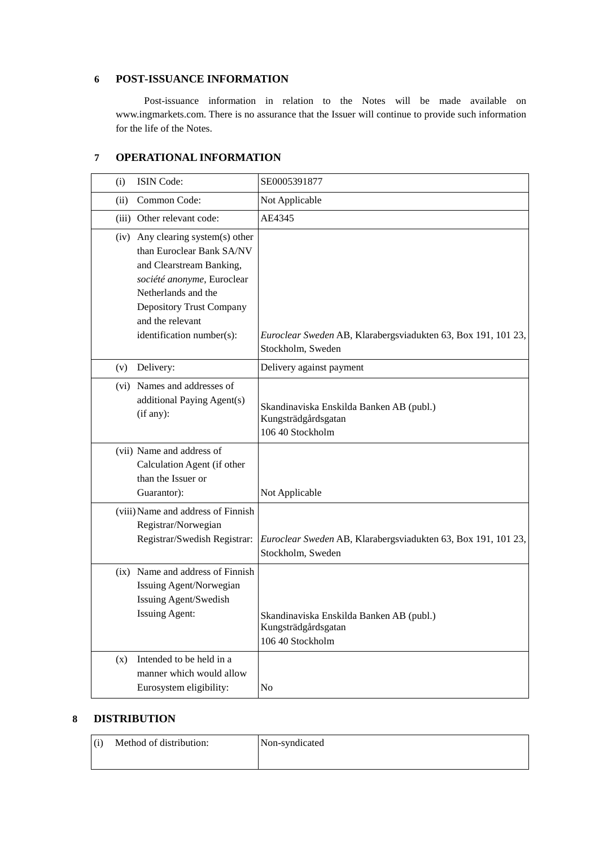### **6 POST-ISSUANCE INFORMATION**

Post-issuance information in relation to the Notes will be made available on www.ingmarkets.com. There is no assurance that the Issuer will continue to provide such information for the life of the Notes.

## **7 OPERATIONAL INFORMATION**

| (i)  | ISIN Code:                                                                                                                                                                                                                          | SE0005391877                                                                        |
|------|-------------------------------------------------------------------------------------------------------------------------------------------------------------------------------------------------------------------------------------|-------------------------------------------------------------------------------------|
| (ii) | Common Code:                                                                                                                                                                                                                        | Not Applicable                                                                      |
|      | (iii) Other relevant code:                                                                                                                                                                                                          | AE4345                                                                              |
|      | (iv) Any clearing system(s) other<br>than Euroclear Bank SA/NV<br>and Clearstream Banking,<br>société anonyme, Euroclear<br>Netherlands and the<br><b>Depository Trust Company</b><br>and the relevant<br>identification number(s): | Euroclear Sweden AB, Klarabergsviadukten 63, Box 191, 101 23,<br>Stockholm, Sweden  |
| (v)  | Delivery:                                                                                                                                                                                                                           | Delivery against payment                                                            |
|      | (vi) Names and addresses of<br>additional Paying Agent(s)<br>(if any):                                                                                                                                                              | Skandinaviska Enskilda Banken AB (publ.)<br>Kungsträdgårdsgatan<br>106 40 Stockholm |
|      | (vii) Name and address of<br>Calculation Agent (if other<br>than the Issuer or<br>Guarantor):                                                                                                                                       | Not Applicable                                                                      |
|      | (viii) Name and address of Finnish<br>Registrar/Norwegian<br>Registrar/Swedish Registrar:                                                                                                                                           | Euroclear Sweden AB, Klarabergsviadukten 63, Box 191, 101 23,<br>Stockholm, Sweden  |
|      | (ix) Name and address of Finnish<br>Issuing Agent/Norwegian<br>Issuing Agent/Swedish<br><b>Issuing Agent:</b>                                                                                                                       | Skandinaviska Enskilda Banken AB (publ.)<br>Kungsträdgårdsgatan<br>106 40 Stockholm |
| (x)  | Intended to be held in a<br>manner which would allow<br>Eurosystem eligibility:                                                                                                                                                     | No                                                                                  |

## **8 DISTRIBUTION**

| (i) | Method of distribution: | Non-syndicated |
|-----|-------------------------|----------------|
|     |                         |                |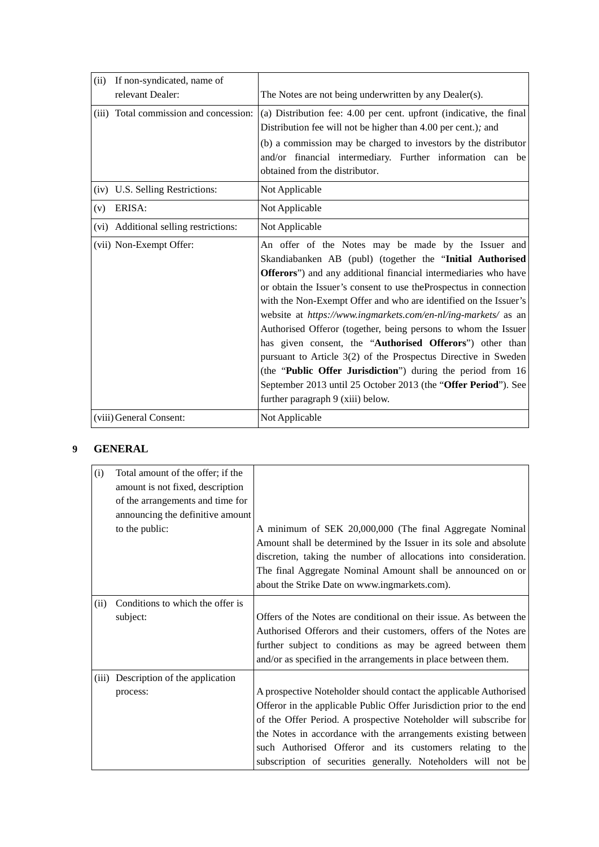| (ii)<br>If non-syndicated, name of     |                                                                                                                                                                                                                                                                                                                                                                                                                                                                                                                                                                                                                                                                                                                                                                       |
|----------------------------------------|-----------------------------------------------------------------------------------------------------------------------------------------------------------------------------------------------------------------------------------------------------------------------------------------------------------------------------------------------------------------------------------------------------------------------------------------------------------------------------------------------------------------------------------------------------------------------------------------------------------------------------------------------------------------------------------------------------------------------------------------------------------------------|
| relevant Dealer:                       | The Notes are not being underwritten by any Dealer(s).                                                                                                                                                                                                                                                                                                                                                                                                                                                                                                                                                                                                                                                                                                                |
| (iii) Total commission and concession: | (a) Distribution fee: 4.00 per cent. upfront (indicative, the final<br>Distribution fee will not be higher than 4.00 per cent.); and<br>(b) a commission may be charged to investors by the distributor<br>and/or financial intermediary. Further information can be<br>obtained from the distributor.                                                                                                                                                                                                                                                                                                                                                                                                                                                                |
| (iv) U.S. Selling Restrictions:        | Not Applicable                                                                                                                                                                                                                                                                                                                                                                                                                                                                                                                                                                                                                                                                                                                                                        |
| ERISA:<br>(v)                          | Not Applicable                                                                                                                                                                                                                                                                                                                                                                                                                                                                                                                                                                                                                                                                                                                                                        |
| (vi) Additional selling restrictions:  | Not Applicable                                                                                                                                                                                                                                                                                                                                                                                                                                                                                                                                                                                                                                                                                                                                                        |
| (vii) Non-Exempt Offer:                | An offer of the Notes may be made by the Issuer and<br>Skandiabanken AB (publ) (together the "Initial Authorised<br>Offerors") and any additional financial intermediaries who have<br>or obtain the Issuer's consent to use the Prospectus in connection<br>with the Non-Exempt Offer and who are identified on the Issuer's<br>website at https://www.ingmarkets.com/en-nl/ing-markets/ as an<br>Authorised Offeror (together, being persons to whom the Issuer<br>has given consent, the "Authorised Offerors") other than<br>pursuant to Article 3(2) of the Prospectus Directive in Sweden<br>(the "Public Offer Jurisdiction") during the period from 16<br>September 2013 until 25 October 2013 (the "Offer Period"). See<br>further paragraph 9 (xiii) below. |
| (viii) General Consent:                | Not Applicable                                                                                                                                                                                                                                                                                                                                                                                                                                                                                                                                                                                                                                                                                                                                                        |

# **9 GENERAL**

| (i)   | Total amount of the offer; if the |                                                                      |
|-------|-----------------------------------|----------------------------------------------------------------------|
|       | amount is not fixed, description  |                                                                      |
|       | of the arrangements and time for  |                                                                      |
|       | announcing the definitive amount  |                                                                      |
|       | to the public:                    | A minimum of SEK 20,000,000 (The final Aggregate Nominal             |
|       |                                   | Amount shall be determined by the Issuer in its sole and absolute    |
|       |                                   | discretion, taking the number of allocations into consideration.     |
|       |                                   | The final Aggregate Nominal Amount shall be announced on or          |
|       |                                   | about the Strike Date on www.ingmarkets.com).                        |
| (ii)  | Conditions to which the offer is  |                                                                      |
|       | subject:                          | Offers of the Notes are conditional on their issue. As between the   |
|       |                                   | Authorised Offerors and their customers, offers of the Notes are     |
|       |                                   | further subject to conditions as may be agreed between them          |
|       |                                   | and/or as specified in the arrangements in place between them.       |
| (iii) | Description of the application    |                                                                      |
|       | process:                          | A prospective Noteholder should contact the applicable Authorised    |
|       |                                   | Offeror in the applicable Public Offer Jurisdiction prior to the end |
|       |                                   | of the Offer Period. A prospective Noteholder will subscribe for     |
|       |                                   | the Notes in accordance with the arrangements existing between       |
|       |                                   | such Authorised Offeror and its customers relating to the            |
|       |                                   | subscription of securities generally. Noteholders will not be        |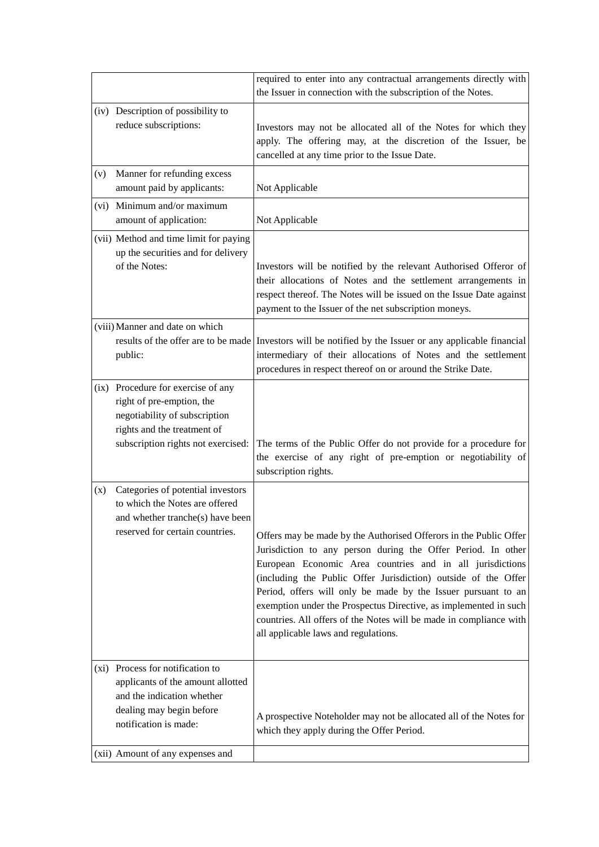|     |                                                                                                                                                                                              | required to enter into any contractual arrangements directly with<br>the Issuer in connection with the subscription of the Notes.                                                                                                                                                                                                                                                                                                                                                                                   |
|-----|----------------------------------------------------------------------------------------------------------------------------------------------------------------------------------------------|---------------------------------------------------------------------------------------------------------------------------------------------------------------------------------------------------------------------------------------------------------------------------------------------------------------------------------------------------------------------------------------------------------------------------------------------------------------------------------------------------------------------|
|     | (iv) Description of possibility to<br>reduce subscriptions:                                                                                                                                  | Investors may not be allocated all of the Notes for which they<br>apply. The offering may, at the discretion of the Issuer, be<br>cancelled at any time prior to the Issue Date.                                                                                                                                                                                                                                                                                                                                    |
| (v) | Manner for refunding excess<br>amount paid by applicants:                                                                                                                                    | Not Applicable                                                                                                                                                                                                                                                                                                                                                                                                                                                                                                      |
|     | (vi) Minimum and/or maximum<br>amount of application:                                                                                                                                        | Not Applicable                                                                                                                                                                                                                                                                                                                                                                                                                                                                                                      |
|     | (vii) Method and time limit for paying<br>up the securities and for delivery<br>of the Notes:                                                                                                | Investors will be notified by the relevant Authorised Offeror of<br>their allocations of Notes and the settlement arrangements in<br>respect thereof. The Notes will be issued on the Issue Date against<br>payment to the Issuer of the net subscription moneys.                                                                                                                                                                                                                                                   |
|     | (viii) Manner and date on which<br>public:                                                                                                                                                   | results of the offer are to be made Investors will be notified by the Issuer or any applicable financial<br>intermediary of their allocations of Notes and the settlement<br>procedures in respect thereof on or around the Strike Date.                                                                                                                                                                                                                                                                            |
|     | (ix) Procedure for exercise of any<br>right of pre-emption, the<br>negotiability of subscription<br>rights and the treatment of<br>subscription rights not exercised:                        | The terms of the Public Offer do not provide for a procedure for<br>the exercise of any right of pre-emption or negotiability of<br>subscription rights.                                                                                                                                                                                                                                                                                                                                                            |
| (x) | Categories of potential investors<br>to which the Notes are offered<br>and whether tranche(s) have been<br>reserved for certain countries.                                                   | Offers may be made by the Authorised Offerors in the Public Offer<br>Jurisdiction to any person during the Offer Period. In other<br>European Economic Area countries and in all jurisdictions<br>(including the Public Offer Jurisdiction) outside of the Offer<br>Period, offers will only be made by the Issuer pursuant to an<br>exemption under the Prospectus Directive, as implemented in such<br>countries. All offers of the Notes will be made in compliance with<br>all applicable laws and regulations. |
|     | (xi) Process for notification to<br>applicants of the amount allotted<br>and the indication whether<br>dealing may begin before<br>notification is made:<br>(xii) Amount of any expenses and | A prospective Noteholder may not be allocated all of the Notes for<br>which they apply during the Offer Period.                                                                                                                                                                                                                                                                                                                                                                                                     |
|     |                                                                                                                                                                                              |                                                                                                                                                                                                                                                                                                                                                                                                                                                                                                                     |